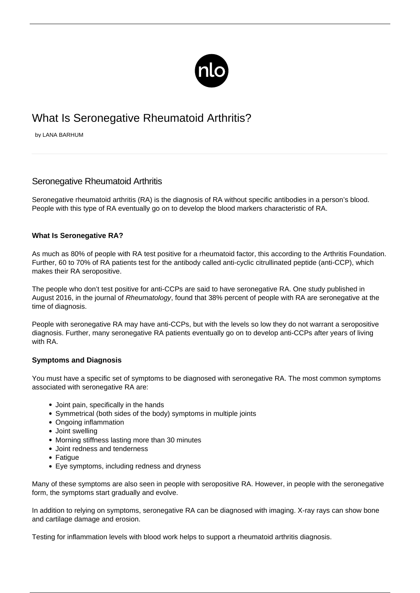

# What Is Seronegative Rheumatoid Arthritis?

by LANA BARHUM

# Seronegative Rheumatoid Arthritis

Seronegative rheumatoid arthritis (RA) is the diagnosis of RA without specific antibodies in a person's blood. People with this type of RA eventually go on to develop the blood markers characteristic of RA.

## **What Is Seronegative RA?**

As much as 80% of people with RA test positive for a rheumatoid factor, this [according to the Arthritis Foundation](http://www.arthritis.org/about-arthritis/types/rheumatoid-arthritis/diagnosing.php). Further, 60 to 70% of RA patients test for the antibody called anti-cyclic citrullinated peptide (anti-CCP), which makes their RA seropositive.

The people who don't test positive for anti-CCPs are said to have seronegative RA. [One study](https://www.ncbi.nlm.nih.gov/pubmed/27094600) published in August 2016, in the journal of Rheumatology, found that 38% percent of people with RA are seronegative at the time of diagnosis.

People with seronegative RA may have anti-CCPs, but with the levels so low they do not warrant a seropositive diagnosis. Further, many seronegative RA patients eventually go on to develop anti-CCPs after years of living with RA.

#### **Symptoms and Diagnosis**

You must have a specific set of symptoms to be diagnosed with seronegative RA. The most common symptoms associated with seronegative RA are:

- Joint pain, specifically in the hands
- Symmetrical (both sides of the body) symptoms in multiple joints
- Ongoing inflammation
- Joint swelling
- Morning stiffness lasting more than 30 minutes
- Joint redness and tenderness
- Fatigue
- Eye symptoms, including redness and dryness

Many of these symptoms are also seen in people with seropositive RA. However, in people with the seronegative form, the symptoms start gradually and evolve.

In addition to relying on symptoms, seronegative RA can be diagnosed with imaging. X-ray rays can show bone and cartilage damage and erosion.

Testing for inflammation levels with blood work helps to support a [rheumatoid arthritis diagnosis.](/rheumatoid-arthritis-diagnosis/)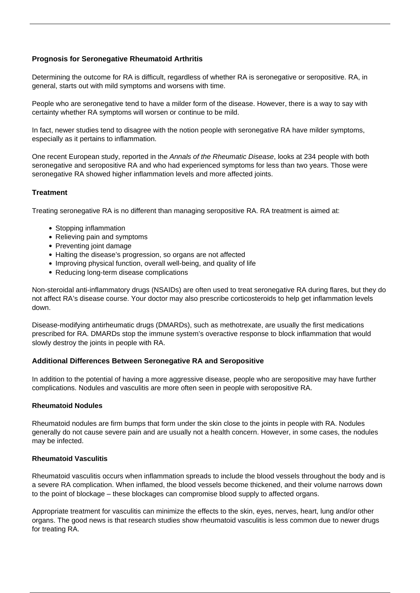# **Prognosis for Seronegative Rheumatoid Arthritis**

Determining the outcome for RA is difficult, regardless of whether RA is seronegative or seropositive. RA, in general, starts out with mild symptoms and worsens with time.

People who are seronegative tend to have a milder form of the disease. However, there is a way to say with certainty whether RA symptoms will worsen or continue to be mild.

In fact, newer studies tend to disagree with the notion people with seronegative RA have milder symptoms, especially as it pertains to inflammation.

One [recent European study,](https://ard.bmj.com/content/76/2/341) reported in the Annals of the Rheumatic Disease, looks at 234 people with both seronegative and seropositive RA and who had experienced symptoms for less than two years. Those were seronegative RA showed higher inflammation levels and more affected joints.

#### **Treatment**

Treating seronegative RA is no different than managing seropositive RA. RA treatment is aimed at:

- Stopping inflammation
- Relieving pain and symptoms
- Preventing joint damage
- Halting the disease's progression, so organs are not affected
- Improving physical function, overall well-being, and quality of life
- Reducing long-term disease complications

Non-steroidal anti-inflammatory drugs (NSAIDs) are often used to treat seronegative RA during flares, but they do not affect RA's disease course. Your doctor may also prescribe corticosteroids to help get inflammation levels down.

Disease-modifying antirheumatic drugs (DMARDs), such as methotrexate, are usually the first [medications](/rheumatoid-arthritis-medications-and-their-side-effects/) [prescribed for RA](/rheumatoid-arthritis-medications-and-their-side-effects/). DMARDs stop the immune system's overactive response to block inflammation that would slowly destroy the joints in people with RA.

#### **Additional Differences Between Seronegative RA and Seropositive**

In addition to the potential of having a more aggressive disease, people who are seropositive may have further complications. Nodules and vasculitis are more often seen in people with seropositive RA.

#### **Rheumatoid Nodules**

Rheumatoid nodules are firm bumps that form under the skin close to the joints in people with RA. Nodules generally do not cause severe pain and are usually not a health concern. However, in some cases, the nodules may be infected.

#### **Rheumatoid Vasculitis**

Rheumatoid vasculitis occurs when inflammation spreads to include the blood vessels throughout the body and is a severe RA complication. When inflamed, the blood vessels become thickened, and their volume narrows down to the point of blockage – these blockages can compromise blood supply to affected organs.

Appropriate treatment for vasculitis can minimize the effects to the skin, eyes, nerves, heart, lung and/or other organs. The good news is that research studies show rheumatoid vasculitis is less common due to newer drugs for treating RA.